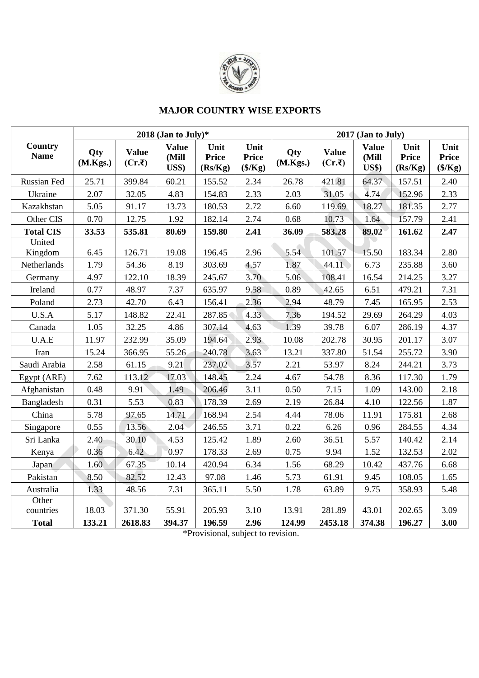

## **MAJOR COUNTRY WISE EXPORTS**

|                        |                 | $2018$ (Jan to July)*          | $2017$ (Jan to July)                  |                                 |                                          |                 |                                |                               |                                 |                                          |
|------------------------|-----------------|--------------------------------|---------------------------------------|---------------------------------|------------------------------------------|-----------------|--------------------------------|-------------------------------|---------------------------------|------------------------------------------|
| Country<br><b>Name</b> | Qty<br>(M.Kgs.) | <b>Value</b><br>$(Cr.\bar{ξ})$ | <b>Value</b><br>(Mill<br><b>US\$)</b> | Unit<br><b>Price</b><br>(Rs/Kg) | Unit<br><b>Price</b><br>$(\frac{5}{Kg})$ | Qty<br>(M.Kgs.) | <b>Value</b><br>$(Cr.\bar{ξ})$ | <b>Value</b><br>(Mill<br>US\$ | Unit<br><b>Price</b><br>(Rs/Kg) | Unit<br><b>Price</b><br>$(\frac{5}{Kg})$ |
| <b>Russian Fed</b>     | 25.71           | 399.84                         | 60.21                                 | 155.52                          | 2.34                                     | 26.78           | 421.81                         | 64.37                         | 157.51                          | 2.40                                     |
| Ukraine                | 2.07            | 32.05                          | 4.83                                  | 154.83                          | 2.33                                     | 2.03            | 31.05                          | 4.74                          | 152.96                          | 2.33                                     |
| Kazakhstan             | 5.05            | 91.17                          | 13.73                                 | 180.53                          | 2.72                                     | 6.60            | 119.69                         | 18.27                         | 181.35                          | 2.77                                     |
| Other CIS              | 0.70            | 12.75                          | 1.92                                  | 182.14                          | 2.74                                     | 0.68            | 10.73                          | 1.64                          | 157.79                          | 2.41                                     |
| <b>Total CIS</b>       | 33.53           | 535.81                         | 80.69                                 | 159.80                          | 2.41                                     | 36.09           | 583.28                         | 89.02                         | 161.62                          | 2.47                                     |
| United<br>Kingdom      | 6.45            | 126.71                         | 19.08                                 | 196.45                          | 2.96                                     | 5.54            | 101.57                         | 15.50                         | 183.34                          | 2.80                                     |
| Netherlands            | 1.79            | 54.36                          | 8.19                                  | 303.69                          | 4.57                                     | 1.87            | 44.11                          | 6.73                          | 235.88                          | 3.60                                     |
| Germany                | 4.97            | 122.10                         | 18.39                                 | 245.67                          | 3.70                                     | 5.06            | 108.41                         | 16.54                         | 214.25                          | 3.27                                     |
| Ireland                | 0.77            | 48.97                          | 7.37                                  | 635.97                          | 9.58                                     | 0.89            | 42.65                          | 6.51                          | 479.21                          | 7.31                                     |
| Poland                 | 2.73            | 42.70                          | 6.43                                  | 156.41                          | 2.36                                     | 2.94            | 48.79                          | 7.45                          | 165.95                          | 2.53                                     |
| U.S.A                  | 5.17            | 148.82                         | 22.41                                 | 287.85                          | 4.33                                     | 7.36            | 194.52                         | 29.69                         | 264.29                          | 4.03                                     |
| Canada                 | 1.05            | 32.25                          | 4.86                                  | 307.14                          | 4.63                                     | 1.39            | 39.78                          | 6.07                          | 286.19                          | 4.37                                     |
| U.A.E                  | 11.97           | 232.99                         | 35.09                                 | 194.64                          | 2.93                                     | 10.08           | 202.78                         | 30.95                         | 201.17                          | 3.07                                     |
| Iran                   | 15.24           | 366.95                         | 55.26                                 | 240.78                          | 3.63                                     | 13.21           | 337.80                         | 51.54                         | 255.72                          | 3.90                                     |
| Saudi Arabia           | 2.58            | 61.15                          | 9.21                                  | 237.02                          | 3.57                                     | 2.21            | 53.97                          | 8.24                          | 244.21                          | 3.73                                     |
| Egypt (ARE)            | 7.62            | 113.12                         | 17.03                                 | 148.45                          | 2.24                                     | 4.67            | 54.78                          | 8.36                          | 117.30                          | 1.79                                     |
| Afghanistan            | 0.48            | 9.91                           | 1.49                                  | 206.46                          | 3.11                                     | 0.50            | 7.15                           | 1.09                          | 143.00                          | 2.18                                     |
| Bangladesh             | 0.31            | 5.53                           | 0.83                                  | 178.39                          | 2.69                                     | 2.19            | 26.84                          | 4.10                          | 122.56                          | 1.87                                     |
| China                  | 5.78            | 97.65                          | 14.71                                 | 168.94                          | 2.54                                     | 4.44            | 78.06                          | 11.91                         | 175.81                          | 2.68                                     |
| Singapore              | 0.55            | 13.56                          | 2.04                                  | 246.55                          | 3.71                                     | 0.22            | 6.26                           | 0.96                          | 284.55                          | 4.34                                     |
| Sri Lanka              | 2.40            | 30.10                          | 4.53                                  | 125.42                          | 1.89                                     | 2.60            | 36.51                          | 5.57                          | 140.42                          | 2.14                                     |
| Kenya                  | 0.36            | 6.42                           | 0.97                                  | 178.33                          | 2.69                                     | 0.75            | 9.94                           | 1.52                          | 132.53                          | 2.02                                     |
| Japan                  | 1.60            | 67.35                          | 10.14                                 | 420.94                          | 6.34                                     | 1.56            | 68.29                          | 10.42                         | 437.76                          | 6.68                                     |
| Pakistan               | 8.50            | 82.52                          | 12.43                                 | 97.08                           | 1.46                                     | 5.73            | 61.91                          | 9.45                          | 108.05                          | 1.65                                     |
| Australia              | 1.33            | 48.56                          | 7.31                                  | 365.11                          | 5.50                                     | 1.78            | 63.89                          | 9.75                          | 358.93                          | 5.48                                     |
| Other<br>countries     | 18.03           | 371.30                         | 55.91                                 | 205.93                          | 3.10                                     | 13.91           | 281.89                         | 43.01                         | 202.65                          | 3.09                                     |
| <b>Total</b>           | 133.21          | 2618.83                        | 394.37                                | 196.59                          | 2.96                                     | 124.99          | 2453.18                        | 374.38                        | 196.27                          | 3.00                                     |

\*Provisional, subject to revision.